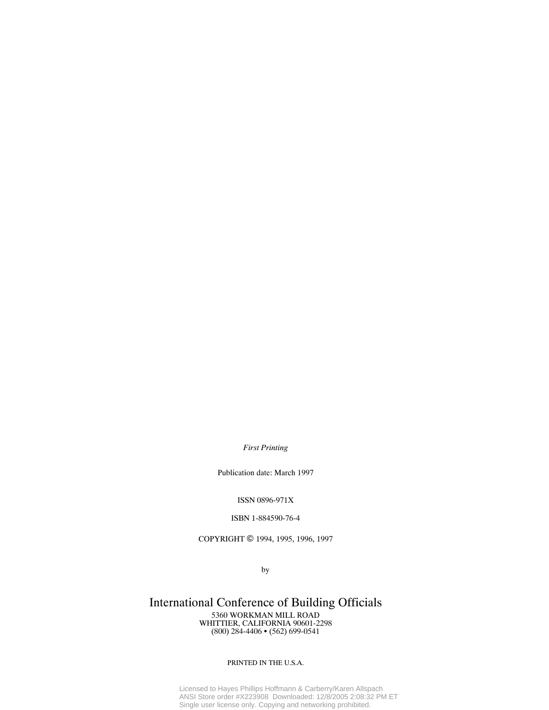*First Printing*

Publication date: March 1997

ISSN 0896-971X

ISBN 1-884590-76-4

COPYRIGHT © 1994, 1995, 1996, 1997

by

# International Conference of Building Officials 5360 WORKMAN MILL ROAD WHITTIER, CALIFORNIA 90601-2298

(800) 284-4406 • (562) 699-0541

#### PRINTED IN THE U.S.A.

Licensed to Hayes Phillips Hoffmann & Carberry/Karen Allspach ANSI Store order #X223908 Downloaded: 12/8/2005 2:08:32 PM ET Single user license only. Copying and networking prohibited.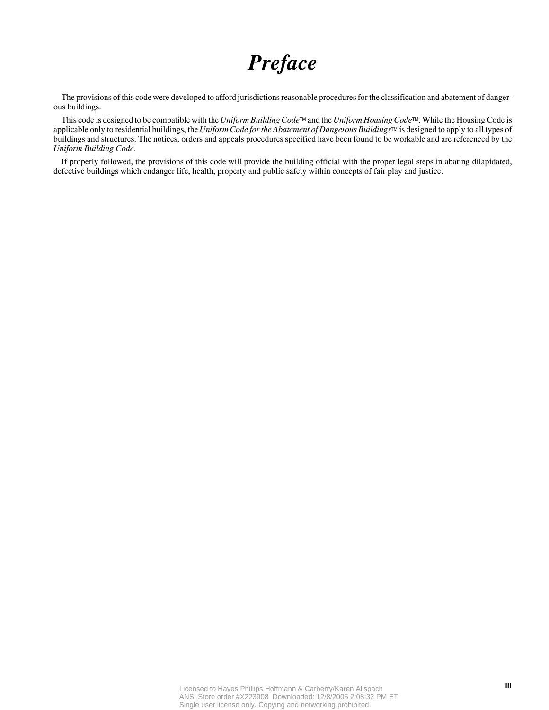# *Preface*

The provisions of this code were developed to afford jurisdictions reasonable procedures for the classification and abatement of dangerous buildings.

This code is designed to be compatible with the *Uniform Building Code*™ and the *Uniform Housing Code*™. While the Housing Code is applicable only to residential buildings, the *Uniform Code for the Abatement of Dangerous Buildings*™ is designed to apply to all types of buildings and structures. The notices, orders and appeals procedures specified have been found to be workable and are referenced by the *Uniform Building Code.*

If properly followed, the provisions of this code will provide the building official with the proper legal steps in abating dilapidated, defective buildings which endanger life, health, property and public safety within concepts of fair play and justice.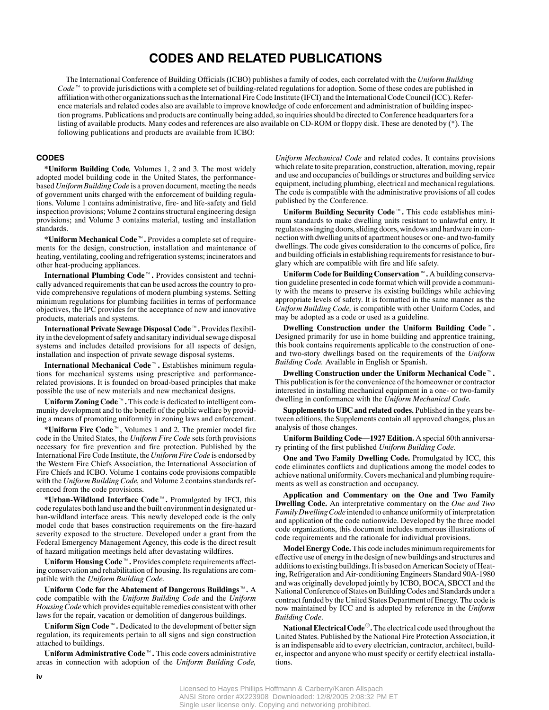# **CODES AND RELATED PUBLICATIONS**

The International Conference of Building Officials (ICBO) publishes a family of codes, each correlated with the *Uniform Building Code*<sup>™</sup> to provide jurisdictions with a complete set of building-related regulations for adoption. Some of these codes are published in affiliation with other organizations such as the International Fire Code Institute (IFCI) and the International Code Council (ICC). Reference materials and related codes also are available to improve knowledge of code enforcement and administration of building inspection programs. Publications and products are continually being added, so inquiries should be directed to Conference headquarters for a listing of available products. Many codes and references are also available on CD-ROM or floppy disk. These are denoted by (\*). The following publications and products are available from ICBO:

#### **CODES**

**\*Uniform Building Code***,* Volumes 1, 2 and 3. The most widely adopted model building code in the United States, the performancebased *Uniform Building Code* is a proven document, meeting the needs of government units charged with the enforcement of building regulations. Volume 1 contains administrative, fire- and life-safety and field inspection provisions; Volume 2 contains structural engineering design provisions; and Volume 3 contains material, testing and installation standards.

**\*Uniform Mechanical Code<sup>™</sup>. Provides a complete set of require**ments for the design, construction, installation and maintenance of heating, ventilating, cooling and refrigeration systems; incinerators and other heat-producing appliances.

**International Plumbing Code<sup>™</sup>.** Provides consistent and technically advanced requirements that can be used across the country to provide comprehensive regulations of modern plumbing systems. Setting minimum regulations for plumbing facilities in terms of performance objectives, the IPC provides for the acceptance of new and innovative products, materials and systems.

**International Private Sewage Disposal Code™. Provides flexibil**ity in the development of safety and sanitary individual sewage disposal systems and includes detailed provisions for all aspects of design, installation and inspection of private sewage disposal systems.

**International Mechanical Code<sup>™</sup>.** Establishes minimum regulations for mechanical systems using prescriptive and performancerelated provisions. It is founded on broad-based principles that make possible the use of new materials and new mechanical designs.

**Uniform Zoning Code<sup>™</sup>. This code is dedicated to intelligent com**munity development and to the benefit of the public welfare by providing a means of promoting uniformity in zoning laws and enforcement.

**\*Uniform Fire Code**t, Volumes 1 and 2. The premier model fire code in the United States, the *Uniform Fire Code* sets forth provisions necessary for fire prevention and fire protection. Published by the International Fire Code Institute, the *Uniform Fire Code* is endorsed by the Western Fire Chiefs Association, the International Association of Fire Chiefs and ICBO. Volume 1 contains code provisions compatible with the *Uniform Building Code,* and Volume 2 contains standards referenced from the code provisions.

*\****Urban-Wildland Interface Code<sup>™</sup>. Promulgated by IFCI, this** code regulates both land use and the built environment in designated urban-wildland interface areas. This newly developed code is the only model code that bases construction requirements on the fire-hazard severity exposed to the structure. Developed under a grant from the Federal Emergency Management Agency, this code is the direct result of hazard mitigation meetings held after devastating wildfires.

**Uniform Housing Code™.** Provides complete requirements affecting conservation and rehabilitation of housing. Its regulations are compatible with the *Uniform Building Code.*

**Uniform Code for the Abatement of Dangerous Buildings™.** A code compatible with the *Uniform Building Code* and the *Uniform Housing Code* which provides equitable remedies consistent with other laws for the repair, vacation or demolition of dangerous buildings.

**Uniform Sign Code<sup>™</sup>.** Dedicated to the development of better sign regulation, its requirements pertain to all signs and sign construction attached to buildings.

**Uniform Administrative Code<sup>™</sup>. This code covers administrative** areas in connection with adoption of the *Uniform Building Code,*

*Uniform Mechanical Code* and related codes. It contains provisions which relate to site preparation, construction, alteration, moving, repair and use and occupancies of buildings or structures and building service equipment, including plumbing, electrical and mechanical regulations. The code is compatible with the administrative provisions of all codes published by the Conference.

**Uniform Building Security Code<sup>™</sup>.** This code establishes minimum standards to make dwelling units resistant to unlawful entry. It regulates swinging doors, sliding doors, windows and hardware in connection with dwelling units of apartment houses or one- and two-family dwellings. The code gives consideration to the concerns of police, fire and building officials in establishing requirements for resistance to burglary which are compatible with fire and life safety.

**Uniform Code for Building Conservation™.** A building conservation guideline presented in code format which will provide a community with the means to preserve its existing buildings while achieving appropriate levels of safety. It is formatted in the same manner as the *Uniform Building Code,* is compatible with other Uniform Codes, and may be adopted as a code or used as a guideline.

**Dwelling Construction under the Uniform Building Code™.** Designed primarily for use in home building and apprentice training, this book contains requirements applicable to the construction of oneand two-story dwellings based on the requirements of the *Uniform Building Code.* Available in English or Spanish.

**Dwelling Construction under the Uniform Mechanical Code™.** This publication is for the convenience of the homeowner or contractor interested in installing mechanical equipment in a one- or two-family dwelling in conformance with the *Uniform Mechanical Code.*

**Supplements to UBC and related codes***.* Published in the years between editions, the Supplements contain all approved changes, plus an analysis of those changes.

**Uniform Building Code-1927 Edition.** A special 60th anniversary printing of the first published *Uniform Building Code.*

**One and Two Family Dwelling Code.** Promulgated by ICC, this code eliminates conflicts and duplications among the model codes to achieve national uniformity. Covers mechanical and plumbing requirements as well as construction and occupancy.

**Application and Commentary on the One and Two Family Dwelling Code.** An interpretative commentary on the *One and Two* Family Dwelling Code intended to enhance uniformity of interpretation and application of the code nationwide. Developed by the three model code organizations, this document includes numerous illustrations of code requirements and the rationale for individual provisions.

**Model Energy Code.** This code includes minimum requirements for effective use of energy in the design of new buildings and structures and additions to existing buildings. It is based on American Society of Heating, Refrigeration and Air-conditioning Engineers Standard 90A-1980 and was originally developed jointly by ICBO, BOCA, SBCCI and the National Conference of States on Building Codes and Standards under a contract funded by the United States Department of Energy. The code is now maintained by ICC and is adopted by reference in the *Uniform Building Code*.

**National Electrical Code<sup>®</sup>.** The electrical code used throughout the United States. Published by the National Fire Protection Association, it is an indispensable aid to every electrician, contractor, architect, builder, inspector and anyone who must specify or certify electrical installations.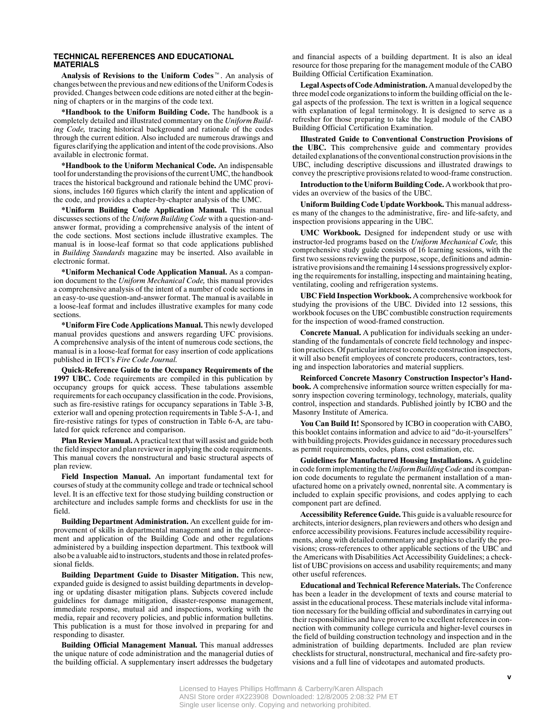#### **TECHNICAL REFERENCES AND EDUCATIONAL MATERIALS**

Analysis of Revisions to the Uniform Codes<sup>™</sup>. An analysis of changes between the previous and new editions of the Uniform Codes is provided. Changes between code editions are noted either at the beginning of chapters or in the margins of the code text.

**\*Handbook to the Uniform Building Code.** The handbook is a completely detailed and illustrated commentary on the *Uniform Building Code,* tracing historical background and rationale of the codes through the current edition. Also included are numerous drawings and figures clarifying the application and intent of the code provisions. Also available in electronic format.

**\*Handbook to the Uniform Mechanical Code.** An indispensable tool for understanding the provisions of the current UMC, the handbook traces the historical background and rationale behind the UMC provisions, includes 160 figures which clarify the intent and application of the code, and provides a chapter-by-chapter analysis of the UMC.

**\*Uniform Building Code Application Manual.** This manual discusses sections of the *Uniform Building Code* with a question-andanswer format, providing a comprehensive analysis of the intent of the code sections. Most sections include illustrative examples. The manual is in loose-leaf format so that code applications published in *Building Standards* magazine may be inserted. Also available in electronic format.

**\*Uniform Mechanical Code Application Manual.** As a companion document to the *Uniform Mechanical Code,* this manual provides a comprehensive analysis of the intent of a number of code sections in an easy-to-use question-and-answer format. The manual is available in a loose-leaf format and includes illustrative examples for many code sections.

**\*Uniform Fire Code Applications Manual.** This newly developed manual provides questions and answers regarding UFC provisions. A comprehensive analysis of the intent of numerous code sections, the manual is in a loose-leaf format for easy insertion of code applications published in IFCI's Fire Code Journal.

**Quick-Reference Guide to the Occupancy Requirements of the 1997 UBC.** Code requirements are compiled in this publication by occupancy groups for quick access. These tabulations assemble requirements for each occupancy classification in the code. Provisions, such as fire-resistive ratings for occupancy separations in Table 3-B, exterior wall and opening protection requirements in Table 5-A-1, and fire-resistive ratings for types of construction in Table 6-A, are tabulated for quick reference and comparison.

**Plan Review Manual.** A practical text that will assist and guide both the field inspector and plan reviewer in applying the code requirements. This manual covers the nonstructural and basic structural aspects of plan review.

**Field Inspection Manual.** An important fundamental text for courses of study at the community college and trade or technical school level. It is an effective text for those studying building construction or architecture and includes sample forms and checklists for use in the field.

**Building Department Administration.** An excellent guide for improvement of skills in departmental management and in the enforcement and application of the Building Code and other regulations administered by a building inspection department. This textbook will also be a valuable aid to instructors, students and those in related professional fields.

**Building Department Guide to Disaster Mitigation.** This new, expanded guide is designed to assist building departments in developing or updating disaster mitigation plans. Subjects covered include guidelines for damage mitigation, disaster-response management, immediate response, mutual aid and inspections, working with the media, repair and recovery policies, and public information bulletins. This publication is a must for those involved in preparing for and responding to disaster.

**Building Official Management Manual.** This manual addresses the unique nature of code administration and the managerial duties of the building official. A supplementary insert addresses the budgetary

and financial aspects of a building department. It is also an ideal resource for those preparing for the management module of the CABO Building Official Certification Examination.

**Legal Aspects of Code Administration.**A manual developed bythe three model code organizations to inform the building official on the legal aspects of the profession. The text is written in a logical sequence with explanation of legal terminology. It is designed to serve as a refresher for those preparing to take the legal module of the CABO Building Official Certification Examination.

**Illustrated Guide to Conventional Construction Provisions of the UBC.** This comprehensive guide and commentary provides detailed explanations of the conventional construction provisions in the UBC, including descriptive discussions and illustrated drawings to convey the prescriptive provisions related to wood-frame construction.

**Introduction to the Uniform Building Code.** A workbook that provides an overview of the basics of the UBC.

**Uniform Building Code Update Workbook.** This manual addresses many of the changes to the administrative, fire- and life-safety, and inspection provisions appearing in the UBC.

**UMC Workbook.** Designed for independent study or use with instructor-led programs based on the *Uniform Mechanical Code,* this comprehensive study guide consists of 16 learning sessions, with the first two sessions reviewing the purpose, scope, definitions and administrative provisions and the remaining 14 sessions progressively exploring the requirements for installing, inspecting and maintaining heating, ventilating, cooling and refrigeration systems.

**UBC Field Inspection Workbook.** A comprehensive workbook for studying the provisions of the UBC. Divided into 12 sessions, this workbook focuses on the UBC combustible construction requirements for the inspection of wood-framed construction.

**Concrete Manual.** A publication for individuals seeking an understanding of the fundamentals of concrete field technology and inspection practices. Of particular interest to concrete construction inspectors, it will also benefit employees of concrete producers, contractors, testing and inspection laboratories and material suppliers.

**Reinforced Concrete Masonry Construction Inspector's Handbook.** A comprehensive information source written especially for masonry inspection covering terminology, technology, materials, quality control, inspection and standards. Published jointly by ICBO and the Masonry Institute of America.

**You Can Build It!** Sponsored by ICBO in cooperation with CABO, this booklet contains information and advice to aid "do-it-yourselfers" with building projects. Provides guidance in necessary procedures such as permit requirements, codes, plans, cost estimation, etc.

**Guidelines for Manufactured Housing Installations.** A guideline in code form implementing the*Uniform Building Code* and its companion code documents to regulate the permanent installation of a manufactured home on a privately owned, nonrental site. A commentary is included to explain specific provisions, and codes applying to each component part are defined.

**Accessibility Reference Guide.** This guide is a valuable resource for architects, interior designers, plan reviewers and others who design and enforce accessibility provisions. Features include accessibility requirements, along with detailed commentary and graphics to clarify the provisions; cross-references to other applicable sections of the UBC and the Americans with Disabilities Act Accessibility Guidelines; a checklist of UBC provisions on access and usability requirements; and many other useful references.

**Educational and Technical Reference Materials.** The Conference has been a leader in the development of texts and course material to assist in the educational process. These materials include vital information necessary for the building official and subordinates in carrying out their responsibilities and have proven to be excellent references in connection with community college curricula and higher-level courses in the field of building construction technology and inspection and in the administration of building departments. Included are plan review checklists for structural, nonstructural, mechanical and fire-safety provisions and a full line of videotapes and automated products.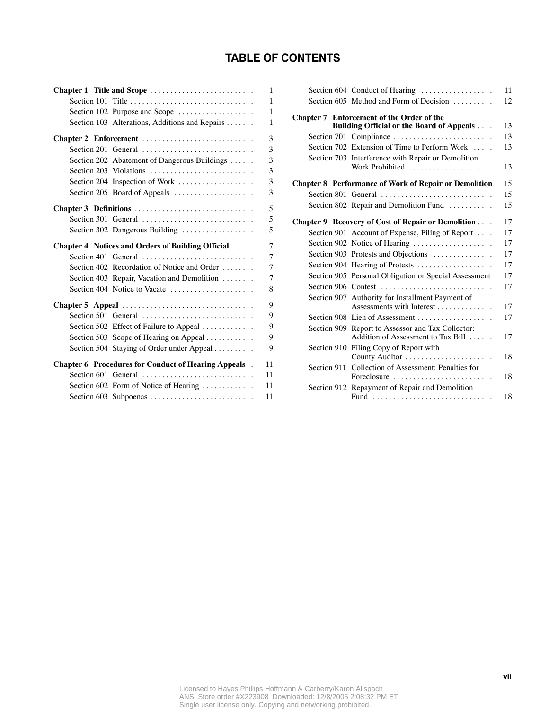# **TABLE OF CONTENTS**

|                                                                     | Chapter 1 Title and Scope                                                    | $\mathbf{1}$   |
|---------------------------------------------------------------------|------------------------------------------------------------------------------|----------------|
|                                                                     |                                                                              | 1              |
|                                                                     | Section 102 Purpose and Scope                                                | 1              |
|                                                                     | Section 103 Alterations, Additions and Repairs                               | 1              |
|                                                                     | Chapter 2 Enforcement                                                        | 3              |
|                                                                     | Section 201 General                                                          | 3              |
|                                                                     | Section 202 Abatement of Dangerous Buildings                                 | 3              |
|                                                                     | Section 203 Violations                                                       | 3              |
|                                                                     | Section 204 Inspection of Work                                               | 3              |
|                                                                     | Section 205 Board of Appeals                                                 | 3              |
|                                                                     | Chapter 3 Definitions                                                        | 5              |
|                                                                     | Section 301 General                                                          | 5              |
|                                                                     | Section 302 Dangerous Building                                               | 5              |
| $\overline{7}$<br>Chapter 4 Notices and Orders of Building Official |                                                                              |                |
|                                                                     | Section 401 General $\ldots, \ldots, \ldots, \ldots, \ldots, \ldots, \ldots$ | 7              |
|                                                                     | Section 402 Recordation of Notice and Order                                  | 7              |
|                                                                     | Section 403 Repair, Vacation and Demolition                                  | $\overline{7}$ |
|                                                                     | Section 404 Notice to Vacate                                                 | 8              |
| Chapter 5 Appeal                                                    |                                                                              | 9              |
|                                                                     | Section 501 General $\ldots, \ldots, \ldots, \ldots, \ldots, \ldots, \ldots$ | 9              |
|                                                                     | Section 502 Effect of Failure to Appeal                                      | 9              |
|                                                                     | Section 503 Scope of Hearing on Appeal                                       | 9              |
|                                                                     | Section 504 Staying of Order under Appeal                                    | 9              |
| <b>Chapter 6 Procedures for Conduct of Hearing Appeals</b> .<br>11  |                                                                              |                |
|                                                                     | Section 601 General                                                          | 11             |
|                                                                     | Section 602 Form of Notice of Hearing                                        | 11             |
|                                                                     | Section 603 Subpoenas                                                        | 11             |

|             | Section 604 Conduct of Hearing                                                          | 11 |
|-------------|-----------------------------------------------------------------------------------------|----|
|             | Section 605 Method and Form of Decision                                                 | 12 |
| Chapter 7   | <b>Enforcement of the Order of the</b><br>Building Official or the Board of Appeals     | 13 |
|             | Section 701 Compliance                                                                  | 13 |
|             | Section 702 Extension of Time to Perform Work                                           | 13 |
|             | Section 703 Interference with Repair or Demolition<br>Work Prohibited                   | 13 |
|             | <b>Chapter 8 Performance of Work of Repair or Demolition</b>                            | 15 |
|             | Section 801 General $\ldots, \ldots, \ldots, \ldots, \ldots, \ldots, \ldots$            | 15 |
|             | Section 802 Repair and Demolition Fund                                                  | 15 |
|             | Chapter 9 Recovery of Cost of Repair or Demolition                                      | 17 |
|             | Section 901 Account of Expense, Filing of Report                                        | 17 |
|             | Section 902 Notice of Hearing                                                           | 17 |
|             | Section 903 Protests and Objections                                                     | 17 |
|             | Section 904 Hearing of Protests                                                         | 17 |
|             | Section 905 Personal Obligation or Special Assessment                                   | 17 |
|             | Section 906 Contest                                                                     | 17 |
|             | Section 907 Authority for Installment Payment of<br>Assessments with Interest           | 17 |
|             | Section 908 Lien of Assessment                                                          | 17 |
|             | Section 909 Report to Assessor and Tax Collector:<br>Addition of Assessment to Tax Bill | 17 |
|             | Section 910 Filing Copy of Report with<br>County Auditor                                | 18 |
| Section 911 | Collection of Assessment: Penalties for<br>Foreclosure                                  | 18 |
|             | Section 912 Repayment of Repair and Demolition                                          | 18 |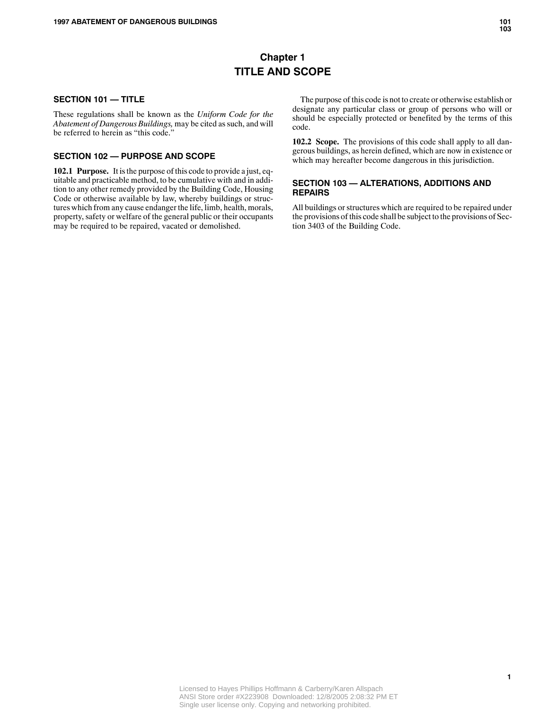# **Chapter 1 TITLE AND SCOPE**

### **SECTION 101 – TITLE**

These regulations shall be known as the *Uniform Code for the Abatement of Dangerous Buildings,* may be cited as such, and will be referred to herein as "this code."

#### **SECTION 102 - PURPOSE AND SCOPE**

**102.1 Purpose.** It is the purpose of this code to provide a just, equitable and practicable method, to be cumulative with and in addition to any other remedy provided by the Building Code, Housing Code or otherwise available by law, whereby buildings or structures which from any cause endanger the life, limb, health, morals, property, safety or welfare of the general public or their occupants may be required to be repaired, vacated or demolished.

The purpose of this code is not to create or otherwise establish or designate any particular class or group of persons who will or should be especially protected or benefited by the terms of this code.

**102.2 Scope.** The provisions of this code shall apply to all dangerous buildings, as herein defined, which are now in existence or which may hereafter become dangerous in this jurisdiction.

#### **SECTION 103 - ALTERATIONS, ADDITIONS AND REPAIRS**

All buildings or structures which are required to be repaired under the provisions of this code shall be subject to the provisions of Section 3403 of the Building Code.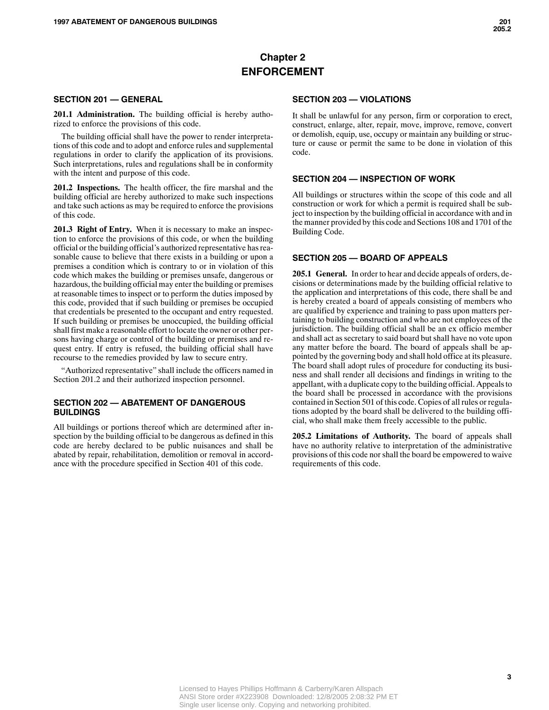# **Chapter 2 ENFORCEMENT**

#### **SECTION 201 – GENERAL**

**201.1 Administration.** The building official is hereby authorized to enforce the provisions of this code.

The building official shall have the power to render interpretations of this code and to adopt and enforce rules and supplemental regulations in order to clarify the application of its provisions. Such interpretations, rules and regulations shall be in conformity with the intent and purpose of this code.

**201.2 Inspections.** The health officer, the fire marshal and the building official are hereby authorized to make such inspections and take such actions as may be required to enforce the provisions of this code.

**201.3 Right of Entry.** When it is necessary to make an inspection to enforce the provisions of this code, or when the building official or the building official's authorized representative has reasonable cause to believe that there exists in a building or upon a premises a condition which is contrary to or in violation of this code which makes the building or premises unsafe, dangerous or hazardous, the building official may enter the building or premises at reasonable times to inspect or to perform the duties imposed by this code, provided that if such building or premises be occupied that credentials be presented to the occupant and entry requested. If such building or premises be unoccupied, the building official shall first make a reasonable effort to locate the owner or other persons having charge or control of the building or premises and request entry. If entry is refused, the building official shall have recourse to the remedies provided by law to secure entry.

"Authorized representative" shall include the officers named in Section 201.2 and their authorized inspection personnel.

#### **SECTION 202 - ABATEMENT OF DANGEROUS BUILDINGS**

All buildings or portions thereof which are determined after inspection by the building official to be dangerous as defined in this code are hereby declared to be public nuisances and shall be abated by repair, rehabilitation, demolition or removal in accordance with the procedure specified in Section 401 of this code.

#### **SECTION 203 - VIOLATIONS**

It shall be unlawful for any person, firm or corporation to erect, construct, enlarge, alter, repair, move, improve, remove, convert or demolish, equip, use, occupy or maintain any building or structure or cause or permit the same to be done in violation of this code.

#### **SECTION 204 – INSPECTION OF WORK**

All buildings or structures within the scope of this code and all construction or work for which a permit is required shall be subject to inspection by the building official in accordance with and in the manner provided by this code and Sections 108 and 1701 of the Building Code.

#### **SECTION 205 - BOARD OF APPEALS**

**205.1 General.** In order to hear and decide appeals of orders, decisions or determinations made by the building official relative to the application and interpretations of this code, there shall be and is hereby created a board of appeals consisting of members who are qualified by experience and training to pass upon matters pertaining to building construction and who are not employees of the jurisdiction. The building official shall be an ex officio member and shall act as secretary to said board but shall have no vote upon any matter before the board. The board of appeals shall be appointed by the governing body and shall hold office at its pleasure. The board shall adopt rules of procedure for conducting its business and shall render all decisions and findings in writing to the appellant, with a duplicate copy to the building official. Appeals to the board shall be processed in accordance with the provisions contained in Section 501 of this code. Copies of all rules or regulations adopted by the board shall be delivered to the building official, who shall make them freely accessible to the public.

**205.2 Limitations of Authority.** The board of appeals shall have no authority relative to interpretation of the administrative provisions of this code nor shall the board be empowered to waive requirements of this code.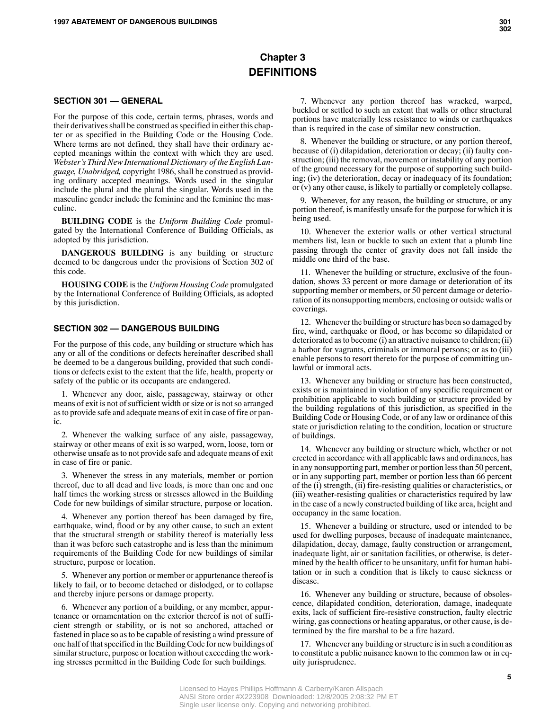# **Chapter 3 DEFINITIONS**

#### **SECTION 301 – GENERAL**

For the purpose of this code, certain terms, phrases, words and their derivatives shall be construed as specified in either this chapter or as specified in the Building Code or the Housing Code. Where terms are not defined, they shall have their ordinary accepted meanings within the context with which they are used. Webster's Third New International Dictionary of the English Lan*guage, Unabridged,* copyright 1986, shall be construed as providing ordinary accepted meanings. Words used in the singular include the plural and the plural the singular. Words used in the masculine gender include the feminine and the feminine the masculine.

**BUILDING CODE** is the *Uniform Building Code* promulgated by the International Conference of Building Officials, as adopted by this jurisdiction.

**DANGEROUS BUILDING** is any building or structure deemed to be dangerous under the provisions of Section 302 of this code.

**HOUSING CODE** is the *Uniform Housing Code* promulgated by the International Conference of Building Officials, as adopted by this jurisdiction.

#### **SECTION 302 - DANGEROUS BUILDING**

For the purpose of this code, any building or structure which has any or all of the conditions or defects hereinafter described shall be deemed to be a dangerous building, provided that such conditions or defects exist to the extent that the life, health, property or safety of the public or its occupants are endangered.

1. Whenever any door, aisle, passageway, stairway or other means of exit is not of sufficient width or size or is not so arranged as to provide safe and adequate means of exit in case of fire or panic.

2. Whenever the walking surface of any aisle, passageway, stairway or other means of exit is so warped, worn, loose, torn or otherwise unsafe as to not provide safe and adequate means of exit in case of fire or panic.

3. Whenever the stress in any materials, member or portion thereof, due to all dead and live loads, is more than one and one half times the working stress or stresses allowed in the Building Code for new buildings of similar structure, purpose or location.

4. Whenever any portion thereof has been damaged by fire, earthquake, wind, flood or by any other cause, to such an extent that the structural strength or stability thereof is materially less than it was before such catastrophe and is less than the minimum requirements of the Building Code for new buildings of similar structure, purpose or location.

5. Whenever any portion or member or appurtenance thereof is likely to fail, or to become detached or dislodged, or to collapse and thereby injure persons or damage property.

6. Whenever any portion of a building, or any member, appurtenance or ornamentation on the exterior thereof is not of sufficient strength or stability, or is not so anchored, attached or fastened in place so as to be capable of resisting a wind pressure of one half of that specified in the Building Code for new buildings of similar structure, purpose or location without exceeding the working stresses permitted in the Building Code for such buildings.

7. Whenever any portion thereof has wracked, warped, buckled or settled to such an extent that walls or other structural portions have materially less resistance to winds or earthquakes than is required in the case of similar new construction.

8. Whenever the building or structure, or any portion thereof, because of (i) dilapidation, deterioration or decay; (ii) faulty construction; (iii) the removal, movement or instability of any portion of the ground necessary for the purpose of supporting such building; (iv) the deterioration, decay or inadequacy of its foundation; or (v) any other cause, is likely to partially or completely collapse.

9. Whenever, for any reason, the building or structure, or any portion thereof, is manifestly unsafe for the purpose for which it is being used.

10. Whenever the exterior walls or other vertical structural members list, lean or buckle to such an extent that a plumb line passing through the center of gravity does not fall inside the middle one third of the base.

11. Whenever the building or structure, exclusive of the foundation, shows 33 percent or more damage or deterioration of its supporting member or members, or 50 percent damage or deterioration of its nonsupporting members, enclosing or outside walls or coverings.

12. Whenever the building or structure has been so damaged by fire, wind, earthquake or flood, or has become so dilapidated or deteriorated as to become (i) an attractive nuisance to children; (ii) a harbor for vagrants, criminals or immoral persons; or as to (iii) enable persons to resort thereto for the purpose of committing unlawful or immoral acts.

13. Whenever any building or structure has been constructed, exists or is maintained in violation of any specific requirement or prohibition applicable to such building or structure provided by the building regulations of this jurisdiction, as specified in the Building Code or Housing Code, or of any law or ordinance of this state or jurisdiction relating to the condition, location or structure of buildings.

14. Whenever any building or structure which, whether or not erected in accordance with all applicable laws and ordinances, has in any nonsupporting part, member or portion less than 50 percent, or in any supporting part, member or portion less than 66 percent of the (i) strength, (ii) fire-resisting qualities or characteristics, or (iii) weather-resisting qualities or characteristics required by law in the case of a newly constructed building of like area, height and occupancy in the same location.

15. Whenever a building or structure, used or intended to be used for dwelling purposes, because of inadequate maintenance, dilapidation, decay, damage, faulty construction or arrangement, inadequate light, air or sanitation facilities, or otherwise, is determined by the health officer to be unsanitary, unfit for human habitation or in such a condition that is likely to cause sickness or disease.

16. Whenever any building or structure, because of obsolescence, dilapidated condition, deterioration, damage, inadequate exits, lack of sufficient fire-resistive construction, faulty electric wiring, gas connections or heating apparatus, or other cause, is determined by the fire marshal to be a fire hazard.

17. Whenever any building or structure is in such a condition as to constitute a public nuisance known to the common law or in equity jurisprudence.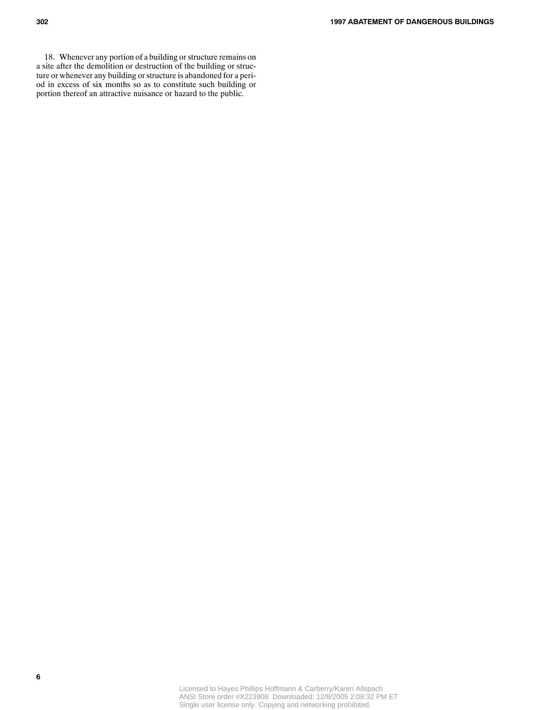18. Whenever any portion of a building or structure remains on a site after the demolition or destruction of the building or structure or whenever any building or structure is abandoned for a period in excess of six months so as to constitute such building or portion thereof an attractive nuisance or hazard to the public.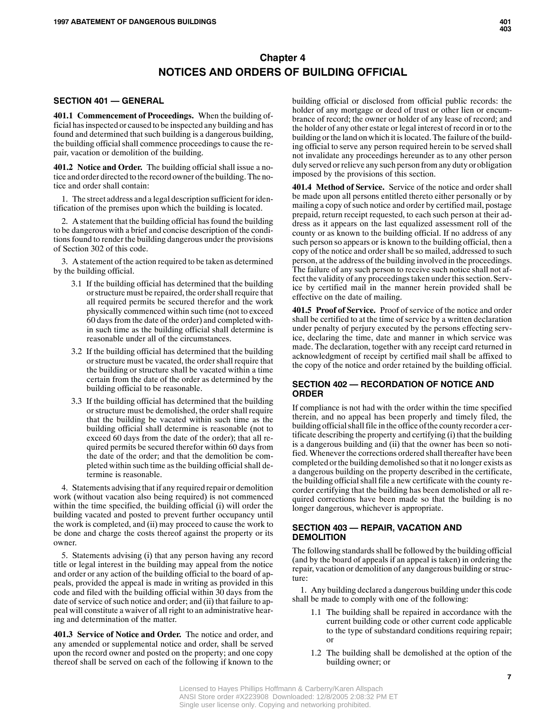# **Chapter 4 NOTICES AND ORDERS OF BUILDING OFFICIAL**

#### **SECTION 401 – GENERAL**

**401.1 Commencement of Proceedings.** When the building official has inspected or caused to be inspected any building and has found and determined that such building is a dangerous building, the building official shall commence proceedings to cause the repair, vacation or demolition of the building.

**401.2 Notice and Order.** The building official shall issue a notice and order directed to the record owner of the building. The notice and order shall contain:

1. The street address and a legal description sufficient for identification of the premises upon which the building is located.

2. A statement that the building official has found the building to be dangerous with a brief and concise description of the conditions found to render the building dangerous under the provisions of Section 302 of this code.

3. A statement of the action required to be taken as determined by the building official.

- 3.1 If the building official has determined that the building or structure must be repaired, the order shall require that all required permits be secured therefor and the work physically commenced within such time (not to exceed 60 days from the date of the order) and completed within such time as the building official shall determine is reasonable under all of the circumstances.
- 3.2 If the building official has determined that the building or structure must be vacated, the order shall require that the building or structure shall be vacated within a time certain from the date of the order as determined by the building official to be reasonable.
- 3.3 If the building official has determined that the building or structure must be demolished, the order shall require that the building be vacated within such time as the building official shall determine is reasonable (not to exceed 60 days from the date of the order); that all required permits be secured therefor within 60 days from the date of the order; and that the demolition be completed within such time as the building official shall determine is reasonable.

4. Statements advising that if any required repair or demolition work (without vacation also being required) is not commenced within the time specified, the building official (i) will order the building vacated and posted to prevent further occupancy until the work is completed, and (ii) may proceed to cause the work to be done and charge the costs thereof against the property or its owner.

5. Statements advising (i) that any person having any record title or legal interest in the building may appeal from the notice and order or any action of the building official to the board of appeals, provided the appeal is made in writing as provided in this code and filed with the building official within 30 days from the date of service of such notice and order; and (ii) that failure to appeal will constitute a waiver of all right to an administrative hearing and determination of the matter.

**401.3 Service of Notice and Order.** The notice and order, and any amended or supplemental notice and order, shall be served upon the record owner and posted on the property; and one copy thereof shall be served on each of the following if known to the building official or disclosed from official public records: the holder of any mortgage or deed of trust or other lien or encumbrance of record; the owner or holder of any lease of record; and the holder of any other estate or legal interest of record in or to the building or the land on which it is located. The failure of the building official to serve any person required herein to be served shall not invalidate any proceedings hereunder as to any other person duly served or relieve any such person from any duty or obligation imposed by the provisions of this section.

**401.4 Method of Service.** Service of the notice and order shall be made upon all persons entitled thereto either personally or by mailing a copy of such notice and order by certified mail, postage prepaid, return receipt requested, to each such person at their address as it appears on the last equalized assessment roll of the county or as known to the building official. If no address of any such person so appears or is known to the building official, then a copy of the notice and order shall be so mailed, addressed to such person, at the address of the building involved in the proceedings. The failure of any such person to receive such notice shall not affect the validity of any proceedings taken under this section. Service by certified mail in the manner herein provided shall be effective on the date of mailing.

**401.5 Proof of Service.** Proof of service of the notice and order shall be certified to at the time of service by a written declaration under penalty of perjury executed by the persons effecting service, declaring the time, date and manner in which service was made. The declaration, together with any receipt card returned in acknowledgment of receipt by certified mail shall be affixed to the copy of the notice and order retained by the building official.

#### **SECTION 402 — RECORDATION OF NOTICE AND ORDER**

If compliance is not had with the order within the time specified therein, and no appeal has been properly and timely filed, the building official shall file in the office of the county recorder a certificate describing the property and certifying (i) that the building is a dangerous building and (ii) that the owner has been so notified. Whenever the corrections ordered shall thereafter have been completed or the building demolished so that it no longer exists as a dangerous building on the property described in the certificate, the building official shall file a new certificate with the county recorder certifying that the building has been demolished or all required corrections have been made so that the building is no longer dangerous, whichever is appropriate.

#### **SECTION 403 - REPAIR, VACATION AND DEMOLITION**

The following standards shall be followed by the building official (and by the board of appeals if an appeal is taken) in ordering the repair, vacation or demolition of any dangerous building or structure:

1. Any building declared a dangerous building under this code shall be made to comply with one of the following:

- 1.1 The building shall be repaired in accordance with the current building code or other current code applicable to the type of substandard conditions requiring repair; or
- 1.2 The building shall be demolished at the option of the building owner; or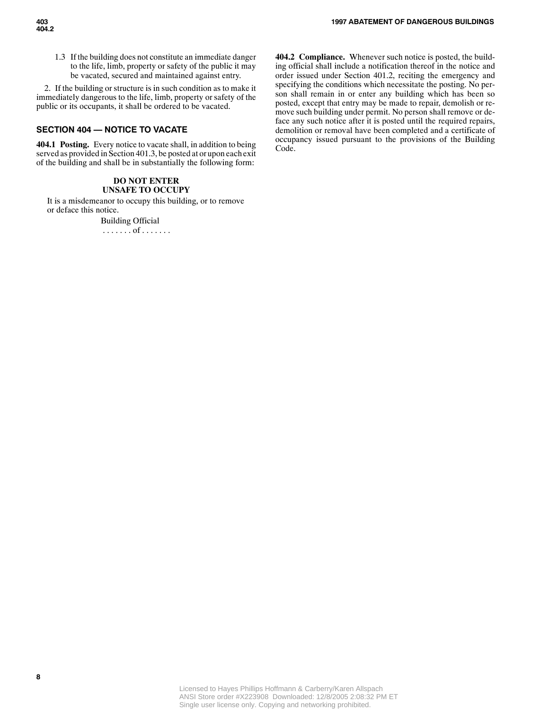1.3 If the building does not constitute an immediate danger to the life, limb, property or safety of the public it may be vacated, secured and maintained against entry.

2. If the building or structure is in such condition as to make it immediately dangerous to the life, limb, property or safety of the public or its occupants, it shall be ordered to be vacated.

### **SECTION 404 – NOTICE TO VACATE**

**404.1 Posting.** Every notice to vacate shall, in addition to being served as provided in Section 401.3, be posted at or upon each exit of the building and shall be in substantially the following form:

#### **DO NOT ENTER UNSAFE TO OCCUPY**

It is a misdemeanor to occupy this building, or to remove or deface this notice.

> Building Official . . . . . . . . of . . . . . . .

**404.2 Compliance.** Whenever such notice is posted, the building official shall include a notification thereof in the notice and order issued under Section 401.2, reciting the emergency and specifying the conditions which necessitate the posting. No person shall remain in or enter any building which has been so posted, except that entry may be made to repair, demolish or remove such building under permit. No person shall remove or deface any such notice after it is posted until the required repairs, demolition or removal have been completed and a certificate of occupancy issued pursuant to the provisions of the Building Code.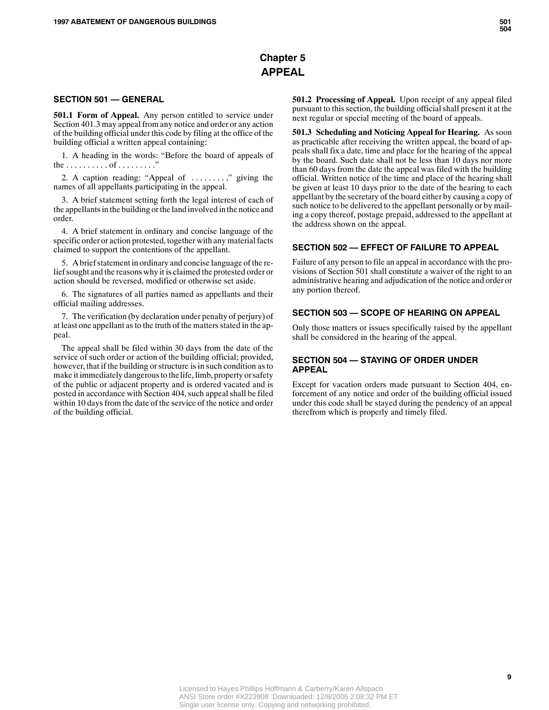# **Chapter 5 APPEAL**

#### **SECTION 501 - GENERAL**

**501.1 Form of Appeal.** Any person entitled to service under Section 401.3 may appeal from any notice and order or any action of the building official under this code by filing at the office of the building official a written appeal containing:

1. A heading in the words: "Before the board of appeals of the  $\dots \dots \dots$  of  $\dots \dots \dots$ ."

2. A caption reading: "Appeal of  $\dots\dots\dots$ ," giving the names of all appellants participating in the appeal.

3. A brief statement setting forth the legal interest of each of the appellants in the building or the landinvolved inthe notice and order.

4. A brief statement in ordinary and concise language of the specific order or action protested, together with any material facts claimed to support the contentions of the appellant.

5. A brief statement in ordinary and concise language of the relief sought and the reasons why it is claimed the protested order or action should be reversed, modified or otherwise set aside.

6. The signatures of all parties named as appellants and their official mailing addresses.

7. The verification (by declaration under penalty of perjury) of at least one appellant as to the truth of the matters stated in the appeal.

The appeal shall be filed within 30 days from the date of the service of such order or action of the building official; provided, however, that if the building or structure is in such condition as to make it immediately dangerous to thelife, limb, property or safety of the public or adjacent property and is ordered vacated and is posted in accordance with Section 404, such appeal shall be filed within 10 days from the date of the service of the notice and order of the building official.

**501.2 Processing of Appeal.** Upon receipt of any appeal filed pursuant to this section, the building official shall present it at the next regular or special meeting of the board of appeals.

**501.3 Scheduling and Noticing Appeal for Hearing.** As soon as practicable after receiving the written appeal, the board of appeals shall fix a date, time and place for the hearing of the appeal by the board. Such date shall not be less than 10 days nor more than 60 days from the date the appeal was filed with the building official. Written notice of the time and place of the hearing shall be given at least 10 days prior to the date of the hearing to each appellant by the secretary of the board either by causing a copy of such notice to be delivered to the appellant personally or by mailing a copy thereof, postage prepaid, addressed to the appellant at the address shown on the appeal.

#### **SECTION 502 - EFFECT OF FAILURE TO APPEAL**

Failure of any person to file an appeal in accordance with the provisions of Section 501 shall constitute a waiver of the right to an administrative hearing and adjudication of the notice and order or any portion thereof.

#### **SECTION 503 – SCOPE OF HEARING ON APPEAL**

Only those matters or issues specifically raised by the appellant shall be considered in the hearing of the appeal.

#### **SECTION 504 – STAYING OF ORDER UNDER APPEAL**

Except for vacation orders made pursuant to Section 404, enforcement of any notice and order of the building official issued under this code shall be stayed during the pendency of an appeal therefrom which is properly and timely filed.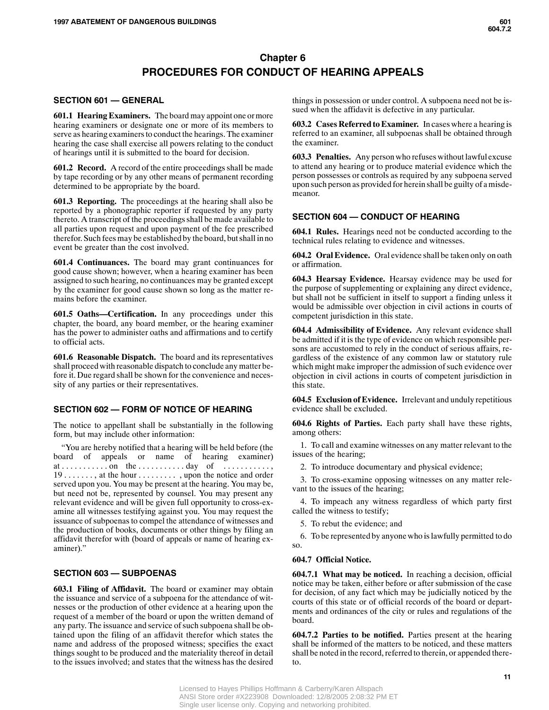# **Chapter 6 PROCEDURES FOR CONDUCT OF HEARING APPEALS**

#### **SECTION 601 – GENERAL**

**601.1 Hearing Examiners.** The board may appoint one ormore hearing examiners or designate one or more of its members to serve as hearing examiners to conduct the hearings. The examiner hearing the case shall exercise all powers relating to the conduct of hearings until it is submitted to the board for decision.

**601.2 Record.** A record of the entire proceedings shall be made by tape recording or by any other means of permanent recording determined to be appropriate by the board.

**601.3 Reporting.** The proceedings at the hearing shall also be reported by a phonographic reporter if requested by any party thereto. A transcript of the proceedings shall be made available to all parties upon request and upon payment of the fee prescribed therefor. Such fees may be established by the board, but shall in no event be greater than the cost involved.

**601.4 Continuances.** The board may grant continuances for good cause shown; however, when a hearing examiner has been assigned to such hearing, no continuances may be granted except by the examiner for good cause shown so long as the matter remains before the examiner.

601.5 Oaths-Certification. In any proceedings under this chapter, the board, any board member, or the hearing examiner has the power to administer oaths and affirmations and to certify to official acts.

**601.6 Reasonable Dispatch.** The board and its representatives shall proceed with reasonable dispatch to conclude any matter before it. Due regard shall be shown for the convenience and necessity of any parties or their representatives.

### **SECTION 602 - FORM OF NOTICE OF HEARING**

The notice to appellant shall be substantially in the following form, but may include other information:

ìYou are hereby notified that a hearing will be held before (the board of appeals or name of hearing examiner)  $at \ldots \ldots \ldots \ldots$  on the  $\ldots \ldots \ldots$  day of  $\ldots \ldots \ldots \ldots$ 19 . . . . . . . , at the hour ......... , upon the notice and order served upon you. You may be present at the hearing. You may be, but need not be, represented by counsel. You may present any relevant evidence and will be given full opportunity to cross-examine all witnesses testifying against you. You may request the issuance of subpoenas to compel the attendance of witnesses and the production of books, documents or other things by filing an affidavit therefor with (board of appeals or name of hearing examiner)."

### **SECTION 603 - SUBPOENAS**

**603.1 Filing of Affidavit.** The board or examiner may obtain the issuance and service of a subpoena for the attendance of witnesses or the production of other evidence at a hearing upon the request of a member of the board or upon the written demand of any party. The issuance and service of such subpoena shall be obtained upon the filing of an affidavit therefor which states the name and address of the proposed witness; specifies the exact things sought to be produced and the materiality thereof in detail to the issues involved; and states that the witness has the desired

things in possession or under control. A subpoena need not be issued when the affidavit is defective in any particular.

**603.2 Cases Referred to Examiner.** In cases where a hearing is referred to an examiner, all subpoenas shall be obtained through the examiner.

**603.3 Penalties.** Any person who refuses without lawful excuse to attend any hearing or to produce material evidence which the person possesses or controls as required by any subpoena served upon such person as provided for herein shall be guilty of a misdemeanor.

#### **SECTION 604 - CONDUCT OF HEARING**

**604.1 Rules.** Hearings need not be conducted according to the technical rules relating to evidence and witnesses.

**604.2 Oral Evidence.** Oral evidence shall be taken only on oath or affirmation.

**604.3 Hearsay Evidence.** Hearsay evidence may be used for the purpose of supplementing or explaining any direct evidence, but shall not be sufficient in itself to support a finding unless it would be admissible over objection in civil actions in courts of competent jurisdiction in this state.

**604.4 Admissibility of Evidence.** Any relevant evidence shall be admitted if it is the type of evidence on which responsible persons are accustomed to rely in the conduct of serious affairs, regardless of the existence of any common law or statutory rule which might make improper the admission of such evidence over objection in civil actions in courts of competent jurisdiction in this state.

**604.5 Exclusion of Evidence.** Irrelevant and unduly repetitious evidence shall be excluded.

**604.6 Rights of Parties.** Each party shall have these rights, among others:

1. To call and examine witnesses on any matter relevant to the issues of the hearing;

2. To introduce documentary and physical evidence;

3. To cross-examine opposing witnesses on any matter relevant to the issues of the hearing;

4. To impeach any witness regardless of which party first called the witness to testify;

5. To rebut the evidence; and

6. To be represented by anyone who is lawfully permitted to do so.

#### **604.7 Official Notice.**

**604.7.1 What may be noticed.** In reaching a decision, official notice may be taken, either before or after submission of the case for decision, of any fact which may be judicially noticed by the courts of this state or of official records of the board or departments and ordinances of the city or rules and regulations of the board.

**604.7.2 Parties to be notified.** Parties present at the hearing shall be informed of the matters to be noticed, and these matters shall be noted in the record, referred to therein, or appended thereto.

Licensed to Hayes Phillips Hoffmann & Carberry/Karen Allspach ANSI Store order #X223908 Downloaded: 12/8/2005 2:08:32 PM ET Single user license only. Copying and networking prohibited.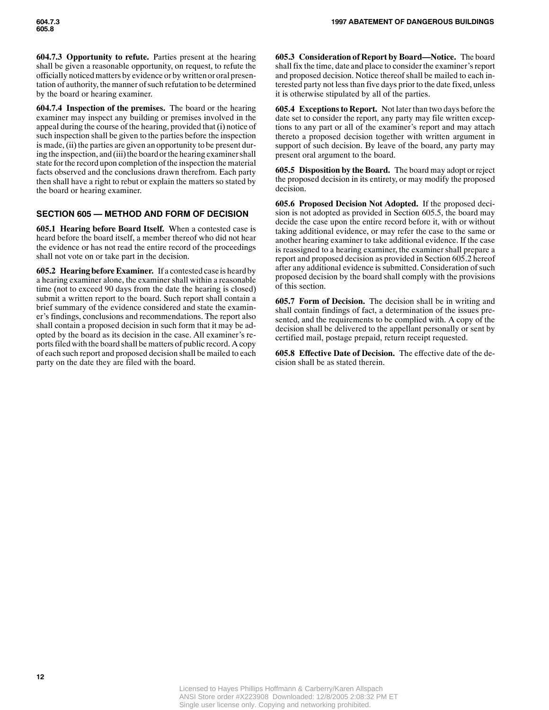**604.7.3 Opportunity to refute.** Parties present at the hearing shall be given a reasonable opportunity, on request, to refute the officially noticed matters by evidence or by written or oral presentation of authority, the manner of such refutation to be determined by the board or hearing examiner.

**604.7.4 Inspection of the premises.** The board or the hearing examiner may inspect any building or premises involved in the appeal during the course of the hearing, provided that (i) notice of such inspection shall be given to the parties before the inspection is made, (ii) the parties are given an opportunity to be present during the inspection, and (iii) the board or the hearing examiner shall state for the record upon completion of the inspection the material facts observed and the conclusions drawn therefrom. Each party then shall have a right to rebut or explain the matters so stated by the board or hearing examiner.

### **SECTION 605 - METHOD AND FORM OF DECISION**

**605.1 Hearing before Board Itself.** When a contested case is heard before the board itself, a member thereof who did not hear the evidence or has not read the entire record of the proceedings shall not vote on or take part in the decision.

**605.2 Hearing before Examiner.** If a contested case is heard by a hearing examiner alone, the examiner shall within a reasonable time (not to exceed 90 days from the date the hearing is closed) submit a written report to the board. Such report shall contain a brief summary of the evidence considered and state the examiner's findings, conclusions and recommendations. The report also shall contain a proposed decision in such form that it may be adopted by the board as its decision in the case. All examiner's reports filed with the board shall be matters of public record. A copy of each such report and proposed decision shall be mailed to each party on the date they are filed with the board.

**605.3 Consideration of Report by Board—Notice.** The board shall fix the time, date and place to consider the examiner's report and proposed decision. Notice thereof shall be mailed to each interested party not less than five days prior to the date fixed, unless it is otherwise stipulated by all of the parties.

**605.4 Exceptions to Report.** Not later than two days before the date set to consider the report, any party may file written exceptions to any part or all of the examiner's report and may attach thereto a proposed decision together with written argument in support of such decision. By leave of the board, any party may present oral argument to the board.

**605.5 Disposition by the Board.** The board may adopt or reject the proposed decision in its entirety, or may modify the proposed decision.

**605.6 Proposed Decision Not Adopted.** If the proposed decision is not adopted as provided in Section 605.5, the board may decide the case upon the entire record before it, with or without taking additional evidence, or may refer the case to the same or another hearing examiner to take additional evidence. If the case is reassigned to a hearing examiner, the examiner shall prepare a report and proposed decision as provided in Section 605.2 hereof after any additional evidence is submitted. Consideration of such proposed decision by the board shall comply with the provisions of this section.

**605.7 Form of Decision.** The decision shall be in writing and shall contain findings of fact, a determination of the issues presented, and the requirements to be complied with. A copy of the decision shall be delivered to the appellant personally or sent by certified mail, postage prepaid, return receipt requested.

**605.8 Effective Date of Decision.** The effective date of the decision shall be as stated therein.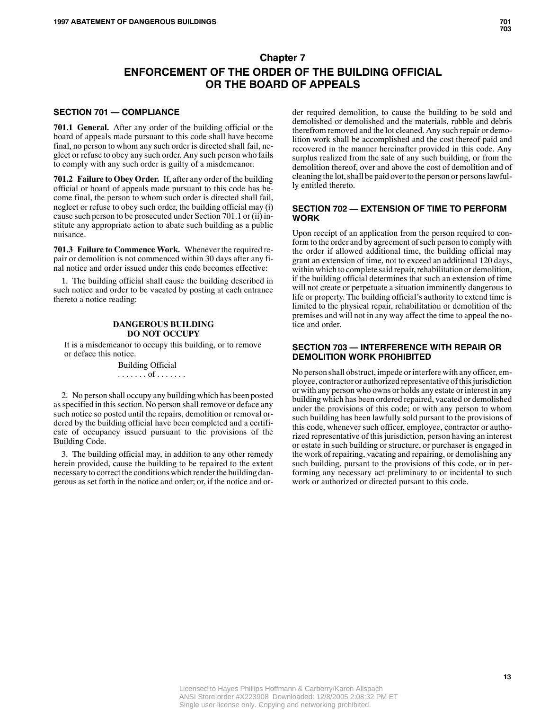## **Chapter 7**

# **ENFORCEMENT OF THE ORDER OF THE BUILDING OFFICIAL OR THE BOARD OF APPEALS**

#### **SECTION 701 – COMPLIANCE**

**701.1 General.** After any order of the building official or the board of appeals made pursuant to this code shall have become final, no person to whom any such order is directed shall fail, neglect or refuse to obey any such order. Any such person who fails to comply with any such order is guilty of a misdemeanor.

**701.2 Failure to Obey Order.** If, after any order of the building official or board of appeals made pursuant to this code has become final, the person to whom such order is directed shall fail, neglect or refuse to obey such order, the building official may (i) cause such person to be prosecuted under Section 701.1 or (ii) institute any appropriate action to abate such building as a public nuisance.

**701.3 Failure to Commence Work.** Whenever the required repair or demolition is not commenced within 30 days after any final notice and order issued under this code becomes effective:

1. The building official shall cause the building described in such notice and order to be vacated by posting at each entrance thereto a notice reading:

#### **DANGEROUS BUILDING DO NOT OCCUPY**

It is a misdemeanor to occupy this building, or to remove or deface this notice.

> Building Official . . . . . . . of . . . . . . .

2. No person shall occupy any building which has been posted as specified in this section. No person shall remove or deface any such notice so posted until the repairs, demolition or removal ordered by the building official have been completed and a certificate of occupancy issued pursuant to the provisions of the Building Code.

3. The building official may, in addition to any other remedy herein provided, cause the building to be repaired to the extent necessary to correct the conditions which render the building dangerous as set forth in the notice and order; or, if the notice and order required demolition, to cause the building to be sold and demolished or demolished and the materials, rubble and debris therefrom removed and the lot cleaned. Any such repair or demolition work shall be accomplished and the cost thereof paid and recovered in the manner hereinafter provided in this code. Any surplus realized from the sale of any such building, or from the demolition thereof, over and above the cost of demolition and of cleaning the lot, shall be paid over to the person or persons lawfully entitled thereto.

#### **SECTION 702 - EXTENSION OF TIME TO PERFORM WORK**

Upon receipt of an application from the person required to conform to the order and by agreement of such person to comply with the order if allowed additional time, the building official may grant an extension of time, not to exceed an additional 120 days, within which to complete said repair, rehabilitation or demolition, if the building official determines that such an extension of time will not create or perpetuate a situation imminently dangerous to life or property. The building official's authority to extend time is limited to the physical repair, rehabilitation or demolition of the premises and will not in any way affect the time to appeal the notice and order.

#### **SECTION 703 - INTERFERENCE WITH REPAIR OR DEMOLITION WORK PROHIBITED**

No person shall obstruct, impede or interfere with any officer, employee, contractor or authorized representative of this jurisdiction or with any person who owns or holds any estate or interest in any building which has been ordered repaired, vacated or demolished under the provisions of this code; or with any person to whom such building has been lawfully sold pursant to the provisions of this code, whenever such officer, employee, contractor or authorized representative of this jurisdiction, person having an interest or estate in such building or structure, or purchaser is engaged in the work of repairing, vacating and repairing, or demolishing any such building, pursant to the provisions of this code, or in performing any necessary act preliminary to or incidental to such work or authorized or directed pursant to this code.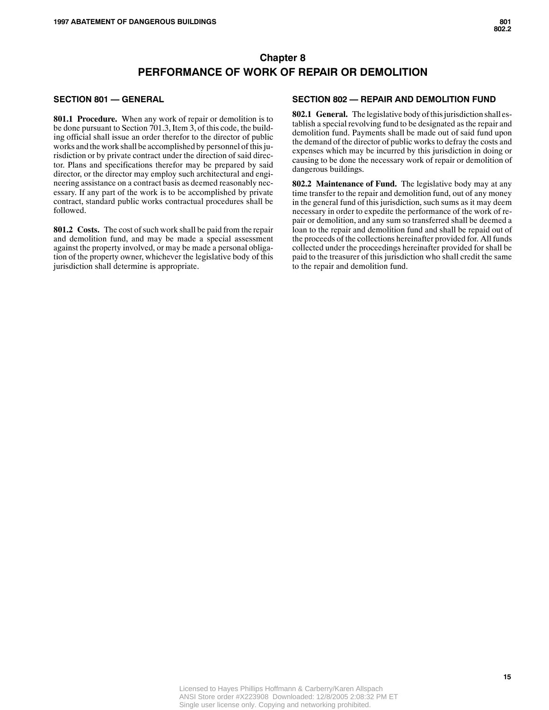# **Chapter 8 PERFORMANCE OF WORK OF REPAIR OR DEMOLITION**

#### **SECTION 801 - GENERAL**

**801.1 Procedure.** When any work of repair or demolition is to be done pursuant to Section 701.3, Item 3, of this code, the building official shall issue an order therefor to the director of public works and the work shall be accomplished by personnel of this jurisdiction or by private contract under the direction of said director. Plans and specifications therefor may be prepared by said director, or the director may employ such architectural and engineering assistance on a contract basis as deemed reasonably necessary. If any part of the work is to be accomplished by private contract, standard public works contractual procedures shall be followed.

**801.2 Costs.** The cost of such work shall be paid from the repair and demolition fund, and may be made a special assessment against the property involved, or may be made a personal obligation of the property owner, whichever the legislative body of this jurisdiction shall determine is appropriate.

#### **SECTION 802 - REPAIR AND DEMOLITION FUND**

**802.1 General.** The legislative body of this jurisdiction shall establish a special revolving fund to be designated as the repair and demolition fund. Payments shall be made out of said fund upon the demand of the director of public works to defray the costs and expenses which may be incurred by this jurisdiction in doing or causing to be done the necessary work of repair or demolition of dangerous buildings.

**802.2 Maintenance of Fund.** The legislative body may at any time transfer to the repair and demolition fund, out of any money in the general fund of this jurisdiction, such sums as it may deem necessary in order to expedite the performance of the work of repair or demolition, and any sum so transferred shall be deemed a loan to the repair and demolition fund and shall be repaid out of the proceeds of the collections hereinafter provided for. All funds collected under the proceedings hereinafter provided for shall be paid to the treasurer of this jurisdiction who shall credit the same to the repair and demolition fund.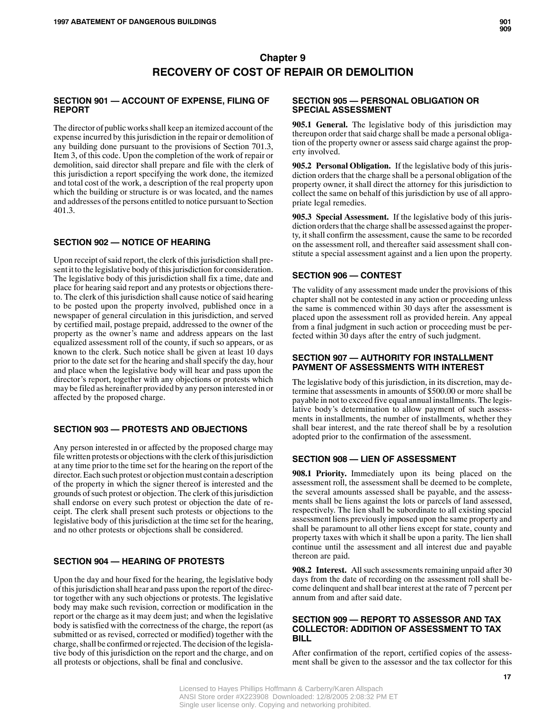# **Chapter 9 RECOVERY OF COST OF REPAIR OR DEMOLITION**

### **SECTION 901 - ACCOUNT OF EXPENSE, FILING OF REPORT**

The director of public works shall keep an itemized account of the expense incurred by this jurisdiction in the repair or demolition of any building done pursuant to the provisions of Section 701.3, Item 3, of this code. Upon the completion of the work of repair or demolition, said director shall prepare and file with the clerk of this jurisdiction a report specifying the work done, the itemized and total cost of the work, a description of the real property upon which the building or structure is or was located, and the names and addresses of the persons entitled to notice pursuant to Section 401.3.

### **SECTION 902 - NOTICE OF HEARING**

Upon receipt of said report, the clerk of this jurisdiction shall present it to the legislative body of this jurisdiction for consideration. The legislative body of this jurisdiction shall fix a time, date and place for hearing said report and any protests or objections thereto. The clerk of this jurisdiction shall cause notice of said hearing to be posted upon the property involved, published once in a newspaper of general circulation in this jurisdiction, and served by certified mail, postage prepaid, addressed to the owner of the property as the owner's name and address appears on the last equalized assessment roll of the county, if such so appears, or as known to the clerk. Such notice shall be given at least 10 days prior to the date set for the hearing and shall specify the day, hour and place when the legislative body will hear and pass upon the director's report, together with any objections or protests which may be filed as hereinafter provided by any person interested in or affected by the proposed charge.

### **SECTION 903 - PROTESTS AND OBJECTIONS**

Any person interested in or affected by the proposed charge may file written protests or objections with the clerk of this jurisdiction at any time prior to the time set for the hearing on the report of the director. Each such protest or objection must contain a description of the property in which the signer thereof is interested and the grounds of such protest or objection. The clerk of this jurisdiction shall endorse on every such protest or objection the date of receipt. The clerk shall present such protests or objections to the legislative body of this jurisdiction at the time set for the hearing, and no other protests or objections shall be considered.

### **SECTION 904 - HEARING OF PROTESTS**

Upon the day and hour fixed for the hearing, the legislative body of this jurisdiction shall hear and pass upon the report of the director together with any such objections or protests. The legislative body may make such revision, correction or modification in the report or the charge as it may deem just; and when the legislative body is satisfied with the correctness of the charge, the report (as submitted or as revised, corrected or modified) together with the charge, shall be confirmed or rejected. The decision of the legislative body of this jurisdiction on the report and the charge, and on all protests or objections, shall be final and conclusive.

#### **SECTION 905 – PERSONAL OBLIGATION OR SPECIAL ASSESSMENT**

**905.1 General.** The legislative body of this jurisdiction may thereupon order that said charge shall be made a personal obligation of the property owner or assess said charge against the property involved.

**905.2 Personal Obligation.** If the legislative body of this jurisdiction orders that the charge shall be a personal obligation of the property owner, it shall direct the attorney for this jurisdiction to collect the same on behalf of this jurisdiction by use of all appropriate legal remedies.

**905.3 Special Assessment.** If the legislative body of this jurisdiction orders that the charge shall be assessed against the property, it shall confirm the assessment, cause the same to be recorded on the assessment roll, and thereafter said assessment shall constitute a special assessment against and a lien upon the property.

### **SECTION 906 - CONTEST**

The validity of any assessment made under the provisions of this chapter shall not be contested in any action or proceeding unless the same is commenced within 30 days after the assessment is placed upon the assessment roll as provided herein. Any appeal from a final judgment in such action or proceeding must be perfected within 30 days after the entry of such judgment.

### **SECTION 907 - AUTHORITY FOR INSTALLMENT PAYMENT OF ASSESSMENTS WITH INTEREST**

The legislative body of this jurisdiction, in its discretion, may determine that assessments in amounts of \$500.00 or more shall be payable in not to exceed five equal annual installments. The legislative body's determination to allow payment of such assessments in installments, the number of installments, whether they shall bear interest, and the rate thereof shall be by a resolution adopted prior to the confirmation of the assessment.

### **SECTION 908 - LIEN OF ASSESSMENT**

**908.1 Priority.** Immediately upon its being placed on the assessment roll, the assessment shall be deemed to be complete, the several amounts assessed shall be payable, and the assessments shall be liens against the lots or parcels of land assessed, respectively. The lien shall be subordinate to all existing special assessment liens previously imposed upon the same property and shall be paramount to all other liens except for state, county and property taxes with which it shall be upon a parity. The lien shall continue until the assessment and all interest due and payable thereon are paid.

**908.2 Interest.** All such assessments remaining unpaid after 30 days from the date of recording on the assessment roll shall become delinquent and shall bear interest at the rate of 7 percent per annum from and after said date.

#### **SECTION 909 - REPORT TO ASSESSOR AND TAX COLLECTOR: ADDITION OF ASSESSMENT TO TAX BILL**

After confirmation of the report, certified copies of the assessment shall be given to the assessor and the tax collector for this

Licensed to Hayes Phillips Hoffmann & Carberry/Karen Allspach ANSI Store order #X223908 Downloaded: 12/8/2005 2:08:32 PM ET Single user license only. Copying and networking prohibited.